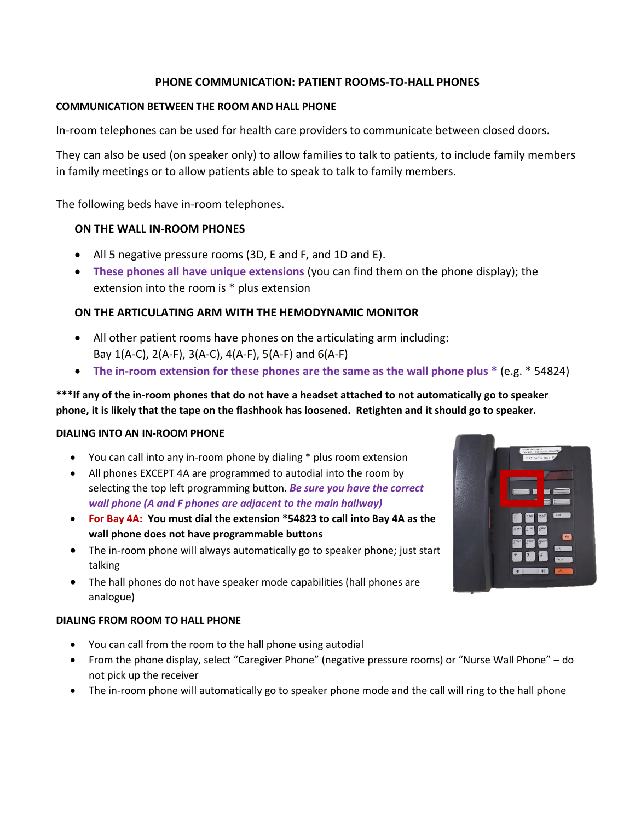# **PHONE COMMUNICATION: PATIENT ROOMS-TO-HALL PHONES**

## **COMMUNICATION BETWEEN THE ROOM AND HALL PHONE**

In-room telephones can be used for health care providers to communicate between closed doors.

They can also be used (on speaker only) to allow families to talk to patients, to include family members in family meetings or to allow patients able to speak to talk to family members.

The following beds have in-room telephones.

## **ON THE WALL IN-ROOM PHONES**

- All 5 negative pressure rooms (3D, E and F, and 1D and E).
- **These phones all have unique extensions** (you can find them on the phone display); the extension into the room is \* plus extension

# **ON THE ARTICULATING ARM WITH THE HEMODYNAMIC MONITOR**

- All other patient rooms have phones on the articulating arm including: Bay 1(A-C), 2(A-F), 3(A-C), 4(A-F), 5(A-F) and 6(A-F)
- **The in-room extension for these phones are the same as the wall phone plus \*** (e.g. \* 54824)

# **\*\*\*If any of the in-room phones that do not have a headset attached to not automatically go to speaker phone, it is likely that the tape on the flashhook has loosened. Retighten and it should go to speaker.**

### **DIALING INTO AN IN-ROOM PHONE**

- You can call into any in-room phone by dialing \* plus room extension
- All phones EXCEPT 4A are programmed to autodial into the room by selecting the top left programming button. *Be sure you have the correct wall phone (A and F phones are adjacent to the main hallway)*
- **For Bay 4A: You must dial the extension \*54823 to call into Bay 4A as the wall phone does not have programmable buttons**
- The in-room phone will always automatically go to speaker phone; just start talking
- The hall phones do not have speaker mode capabilities (hall phones are analogue)

### **DIALING FROM ROOM TO HALL PHONE**

- You can call from the room to the hall phone using autodial
- From the phone display, select "Caregiver Phone" (negative pressure rooms) or "Nurse Wall Phone" do not pick up the receiver
- The in-room phone will automatically go to speaker phone mode and the call will ring to the hall phone